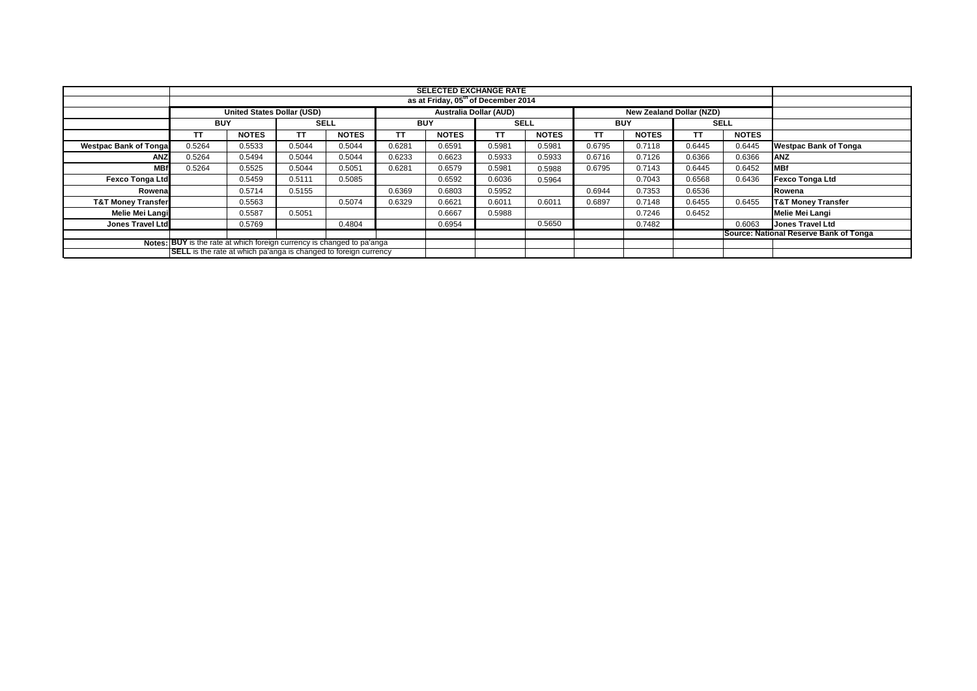|                                                                         | <b>SELECTED EXCHANGE RATE</b>                   |              |             |              |                               |              |             |              |                                 |              |             |                                        |                               |  |
|-------------------------------------------------------------------------|-------------------------------------------------|--------------|-------------|--------------|-------------------------------|--------------|-------------|--------------|---------------------------------|--------------|-------------|----------------------------------------|-------------------------------|--|
|                                                                         | as at Friday, 05 <sup>th</sup> of December 2014 |              |             |              |                               |              |             |              |                                 |              |             |                                        |                               |  |
|                                                                         | <b>United States Dollar (USD)</b>               |              |             |              | <b>Australia Dollar (AUD)</b> |              |             |              | <b>New Zealand Dollar (NZD)</b> |              |             |                                        |                               |  |
|                                                                         | <b>BUY</b>                                      |              | <b>SELL</b> |              | <b>BUY</b>                    |              | <b>SELL</b> |              | <b>BUY</b>                      |              | <b>SELL</b> |                                        |                               |  |
|                                                                         | <b>TT</b>                                       | <b>NOTES</b> | TΤ          | <b>NOTES</b> | TT                            | <b>NOTES</b> | TΤ          | <b>NOTES</b> | TT                              | <b>NOTES</b> | <b>TT</b>   | <b>NOTES</b>                           |                               |  |
| <b>Westpac Bank of Tongal</b>                                           | 0.5264                                          | 0.5533       | 0.5044      | 0.5044       | 0.6281                        | 0.6591       | 0.5981      | 0.5981       | 0.6795                          | 0.7118       | 0.6445      | 0.6445                                 | <b>Westpac Bank of Tonga</b>  |  |
| ANZ                                                                     | 0.5264                                          | 0.5494       | 0.5044      | 0.5044       | 0.6233                        | 0.6623       | 0.5933      | 0.5933       | 0.6716                          | 0.7126       | 0.6366      | 0.6366                                 | <b>ANZ</b>                    |  |
| <b>MBf</b>                                                              | 0.5264                                          | 0.5525       | 0.5044      | 0.5051       | 0.6281                        | 0.6579       | 0.5981      | 0.5988       | 0.6795                          | 0.7143       | 0.6445      | 0.6452                                 | <b>MBf</b>                    |  |
| <b>Fexco Tonga Ltd</b>                                                  |                                                 | 0.5459       | 0.5111      | 0.5085       |                               | 0.6592       | 0.6036      | 0.5964       |                                 | 0.7043       | 0.6568      | 0.6436                                 | <b>Fexco Tonga Ltd</b>        |  |
| Rowena                                                                  |                                                 | 0.5714       | 0.5155      |              | 0.6369                        | 0.6803       | 0.5952      |              | 0.6944                          | 0.7353       | 0.6536      |                                        | Rowena                        |  |
| <b>T&amp;T Money Transfer</b>                                           |                                                 | 0.5563       |             | 0.5074       | 0.6329                        | 0.6621       | 0.6011      | 0.6011       | 0.6897                          | 0.7148       | 0.6455      | 0.6455                                 | <b>T&amp;T Money Transfer</b> |  |
| <b>Melie Mei Langi</b>                                                  |                                                 | 0.5587       | 0.5051      |              |                               | 0.6667       | 0.5988      |              |                                 | 0.7246       | 0.6452      |                                        | Melie Mei Langi               |  |
| Jones Travel Ltd                                                        |                                                 | 0.5769       |             | 0.4804       |                               | 0.6954       |             | 0.5650       |                                 | 0.7482       |             | 0.6063                                 | <b>Jones Travel Ltd</b>       |  |
|                                                                         |                                                 |              |             |              |                               |              |             |              |                                 |              |             | Source: National Reserve Bank of Tonga |                               |  |
| Notes: BUY is the rate at which foreign currency is changed to pa'anga  |                                                 |              |             |              |                               |              |             |              |                                 |              |             |                                        |                               |  |
| <b>SELL</b> is the rate at which pa'anga is changed to foreign currency |                                                 |              |             |              |                               |              |             |              |                                 |              |             |                                        |                               |  |